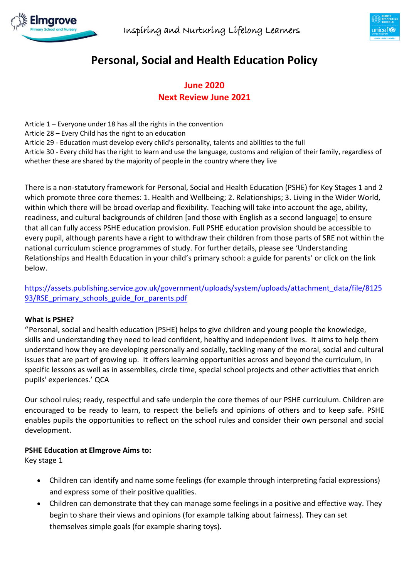



# **Personal, Social and Health Education Policy**

# **June 2020 Next Review June 2021**

Article 1 – Everyone under 18 has all the rights in the convention Article 28 – Every Child has the right to an education Article 29 - Education must develop every child's personality, talents and abilities to the full Article 30 - Every child has the right to learn and use the language, customs and religion of their family, regardless of whether these are shared by the majority of people in the country where they live

There is a non-statutory framework for Personal, Social and Health Education (PSHE) for Key Stages 1 and 2 which promote three core themes: 1. Health and Wellbeing; 2. Relationships; 3. Living in the Wider World, within which there will be broad overlap and flexibility. Teaching will take into account the age, ability, readiness, and cultural backgrounds of children [and those with English as a second language] to ensure that all can fully access PSHE education provision. Full PSHE education provision should be accessible to every pupil, although parents have a right to withdraw their children from those parts of SRE not within the national curriculum science programmes of study. For further details, please see 'Understanding Relationships and Health Education in your child's primary school: a guide for parents' or click on the link below.

[https://assets.publishing.service.gov.uk/government/uploads/system/uploads/attachment\\_data/file/8125](https://assets.publishing.service.gov.uk/government/uploads/system/uploads/attachment_data/file/812593/RSE_primary_schools_guide_for_parents.pdf) [93/RSE\\_primary\\_schools\\_guide\\_for\\_parents.pdf](https://assets.publishing.service.gov.uk/government/uploads/system/uploads/attachment_data/file/812593/RSE_primary_schools_guide_for_parents.pdf)

#### **What is PSHE?**

''Personal, social and health education (PSHE) helps to give children and young people the knowledge, skills and understanding they need to lead confident, healthy and independent lives. It aims to help them understand how they are developing personally and socially, tackling many of the moral, social and cultural issues that are part of growing up. It offers learning opportunities across and beyond the curriculum, in specific lessons as well as in assemblies, circle time, special school projects and other activities that enrich pupils' experiences.' QCA

Our school rules; ready, respectful and safe underpin the core themes of our PSHE curriculum. Children are encouraged to be ready to learn, to respect the beliefs and opinions of others and to keep safe. PSHE enables pupils the opportunities to reflect on the school rules and consider their own personal and social development.

#### **PSHE Education at Elmgrove Aims to:**

Key stage 1

- Children can identify and name some feelings (for example through interpreting facial expressions) and express some of their positive qualities.
- Children can demonstrate that they can manage some feelings in a positive and effective way. They begin to share their views and opinions (for example talking about fairness). They can set themselves simple goals (for example sharing toys).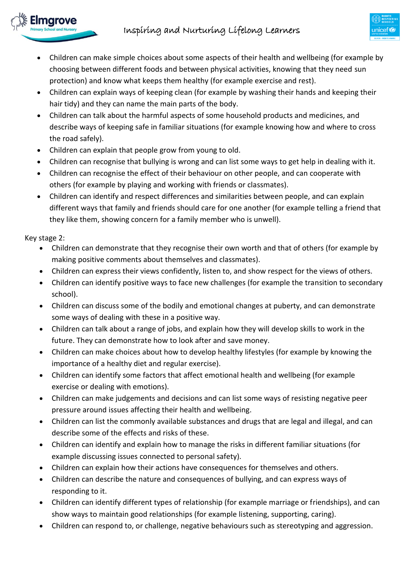# Inspiring and Nurturing Lifelong Learners

- Children can make simple choices about some aspects of their health and wellbeing (for example by choosing between different foods and between physical activities, knowing that they need sun protection) and know what keeps them healthy (for example exercise and rest).
- Children can explain ways of keeping clean (for example by washing their hands and keeping their hair tidy) and they can name the main parts of the body.
- Children can talk about the harmful aspects of some household products and medicines, and describe ways of keeping safe in familiar situations (for example knowing how and where to cross the road safely).
- Children can explain that people grow from young to old.
- Children can recognise that bullying is wrong and can list some ways to get help in dealing with it.
- Children can recognise the effect of their behaviour on other people, and can cooperate with others (for example by playing and working with friends or classmates).
- Children can identify and respect differences and similarities between people, and can explain different ways that family and friends should care for one another (for example telling a friend that they like them, showing concern for a family member who is unwell).

Key stage 2:

marove

- Children can demonstrate that they recognise their own worth and that of others (for example by making positive comments about themselves and classmates).
- Children can express their views confidently, listen to, and show respect for the views of others.
- Children can identify positive ways to face new challenges (for example the transition to secondary school).
- Children can discuss some of the bodily and emotional changes at puberty, and can demonstrate some ways of dealing with these in a positive way.
- Children can talk about a range of jobs, and explain how they will develop skills to work in the future. They can demonstrate how to look after and save money.
- Children can make choices about how to develop healthy lifestyles (for example by knowing the importance of a healthy diet and regular exercise).
- Children can identify some factors that affect emotional health and wellbeing (for example exercise or dealing with emotions).
- Children can make judgements and decisions and can list some ways of resisting negative peer pressure around issues affecting their health and wellbeing.
- Children can list the commonly available substances and drugs that are legal and illegal, and can describe some of the effects and risks of these.
- Children can identify and explain how to manage the risks in different familiar situations (for example discussing issues connected to personal safety).
- Children can explain how their actions have consequences for themselves and others.
- Children can describe the nature and consequences of bullying, and can express ways of responding to it.
- Children can identify different types of relationship (for example marriage or friendships), and can show ways to maintain good relationships (for example listening, supporting, caring).
- Children can respond to, or challenge, negative behaviours such as stereotyping and aggression.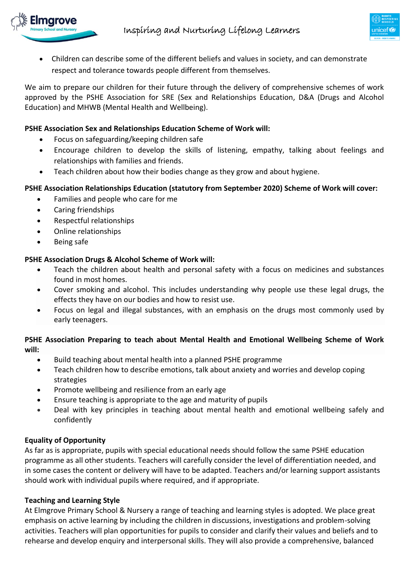

 Children can describe some of the different beliefs and values in society, and can demonstrate respect and tolerance towards people different from themselves.

We aim to prepare our children for their future through the delivery of comprehensive schemes of work approved by the PSHE Association for SRE (Sex and Relationships Education, D&A (Drugs and Alcohol Education) and MHWB (Mental Health and Wellbeing).

#### **PSHE Association Sex and Relationships Education Scheme of Work will:**

- Focus on safeguarding/keeping children safe
- Encourage children to develop the skills of listening, empathy, talking about feelings and relationships with families and friends.
- Teach children about how their bodies change as they grow and about hygiene.

#### **PSHE Association Relationships Education (statutory from September 2020) Scheme of Work will cover:**

- Families and people who care for me
- Caring friendships
- Respectful relationships
- Online relationships
- Being safe

#### **PSHE Association Drugs & Alcohol Scheme of Work will:**

- Teach the children about health and personal safety with a focus on medicines and substances found in most homes.
- Cover smoking and alcohol. This includes understanding why people use these legal drugs, the effects they have on our bodies and how to resist use.
- Focus on legal and illegal substances, with an emphasis on the drugs most commonly used by early teenagers.

#### **PSHE Association Preparing to teach about Mental Health and Emotional Wellbeing Scheme of Work will:**

- Build teaching about mental health into a planned PSHE programme
- Teach children how to describe emotions, talk about anxiety and worries and develop coping strategies
- Promote wellbeing and resilience from an early age
- Ensure teaching is appropriate to the age and maturity of pupils
- Deal with key principles in teaching about mental health and emotional wellbeing safely and confidently

# **Equality of Opportunity**

As far as is appropriate, pupils with special educational needs should follow the same PSHE education programme as all other students. Teachers will carefully consider the level of differentiation needed, and in some cases the content or delivery will have to be adapted. Teachers and/or learning support assistants should work with individual pupils where required, and if appropriate.

#### **Teaching and Learning Style**

At Elmgrove Primary School & Nursery a range of teaching and learning styles is adopted. We place great emphasis on active learning by including the children in discussions, investigations and problem-solving activities. Teachers will plan opportunities for pupils to consider and clarify their values and beliefs and to rehearse and develop enquiry and interpersonal skills. They will also provide a comprehensive, balanced